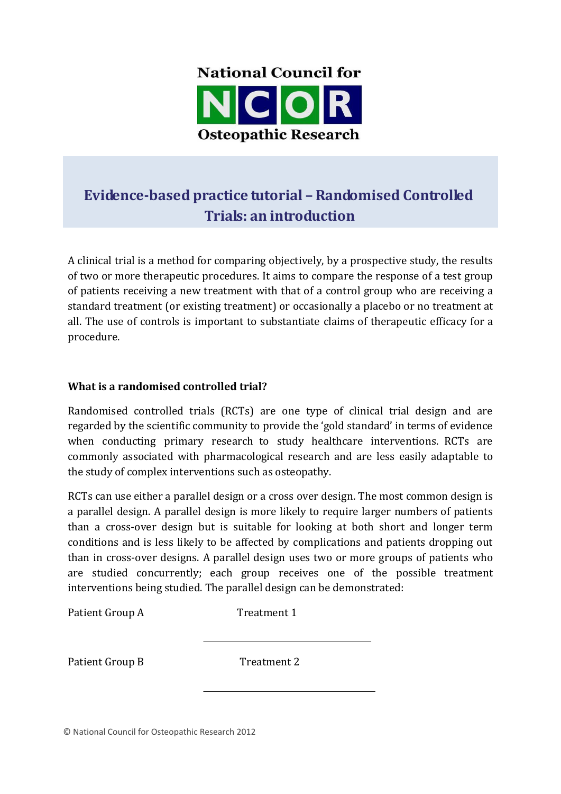

# **Evidence-based practice tutorial – Randomised Controlled Trials: an introduction**

A clinical trial is a method for comparing objectively, by a prospective study, the results of two or more therapeutic procedures. It aims to compare the response of a test group of patients receiving a new treatment with that of a control group who are receiving a standard treatment (or existing treatment) or occasionally a placebo or no treatment at all. The use of controls is important to substantiate claims of therapeutic efficacy for a procedure.

## **What is a randomised controlled trial?**

Randomised controlled trials (RCTs) are one type of clinical trial design and are regarded by the scientific community to provide the 'gold standard' in terms of evidence when conducting primary research to study healthcare interventions. RCTs are commonly associated with pharmacological research and are less easily adaptable to the study of complex interventions such as osteopathy.

RCTs can use either a parallel design or a cross over design. The most common design is a parallel design. A parallel design is more likely to require larger numbers of patients than a cross-over design but is suitable for looking at both short and longer term conditions and is less likely to be affected by complications and patients dropping out than in cross-over designs. A parallel design uses two or more groups of patients who are studied concurrently; each group receives one of the possible treatment interventions being studied. The parallel design can be demonstrated:

Patient Group A Treatment 1

Patient Group B Treatment 2

© National Council for Osteopathic Research 2012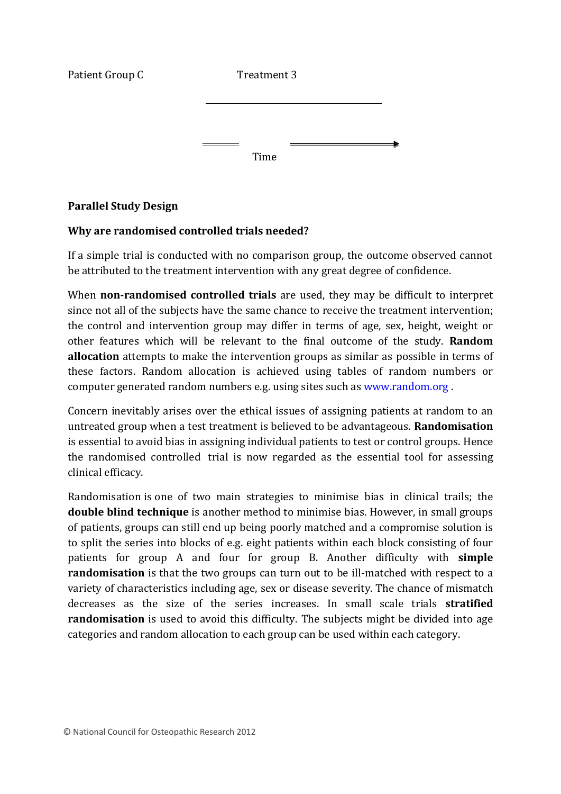Patient Group C Treatment 3 Time

## **Parallel Study Design**

## **Why are randomised controlled trials needed?**

If a simple trial is conducted with no comparison group, the outcome observed cannot be attributed to the treatment intervention with any great degree of confidence.

When **non-randomised controlled trials** are used, they may be difficult to interpret since not all of the subjects have the same chance to receive the treatment intervention; the control and intervention group may differ in terms of age, sex, height, weight or other features which will be relevant to the final outcome of the study. **Random allocation** attempts to make the intervention groups as similar as possible in terms of these factors. Random allocation is achieved using tables of random numbers or computer generated random numbers e.g. using sites such as [www.random.org .](http://www.random.org/)

Concern inevitably arises over the ethical issues of assigning patients at random to an untreated group when a test treatment is believed to be advantageous. **Randomisation**  is essential to avoid bias in assigning individual patients to test or control groups. Hence the randomised controlled trial is now regarded as the essential tool for assessing clinical efficacy.

Randomisation is one of two main strategies to minimise bias in clinical trails; the **double blind technique** is another method to minimise bias. However, in small groups of patients, groups can still end up being poorly matched and a compromise solution is to split the series into blocks of e.g. eight patients within each block consisting of four patients for group A and four for group B. Another difficulty with **simple randomisation** is that the two groups can turn out to be ill-matched with respect to a variety of characteristics including age, sex or disease severity. The chance of mismatch decreases as the size of the series increases. In small scale trials **stratified randomisation** is used to avoid this difficulty. The subjects might be divided into age categories and random allocation to each group can be used within each category.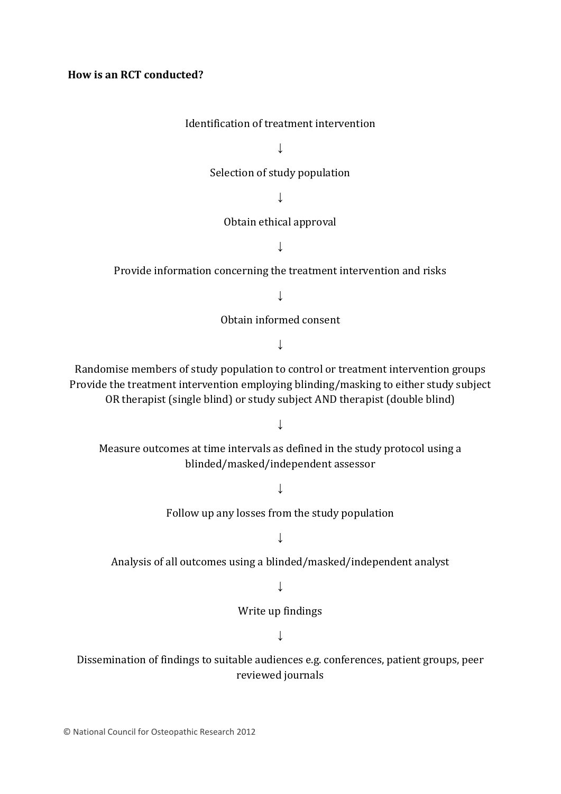#### **How is an RCT conducted?**

#### Identification of treatment intervention

↓

Selection of study population

↓

#### Obtain ethical approval

↓

Provide information concerning the treatment intervention and risks

 $\perp$ 

Obtain informed consent

↓

Randomise members of study population to control or treatment intervention groups Provide the treatment intervention employing blinding/masking to either study subject OR therapist (single blind) or study subject AND therapist (double blind)

↓

Measure outcomes at time intervals as defined in the study protocol using a blinded/masked/independent assessor

↓

Follow up any losses from the study population

↓

Analysis of all outcomes using a blinded/masked/independent analyst

↓

Write up findings

↓

Dissemination of findings to suitable audiences e.g. conferences, patient groups, peer reviewed journals

© National Council for Osteopathic Research 2012